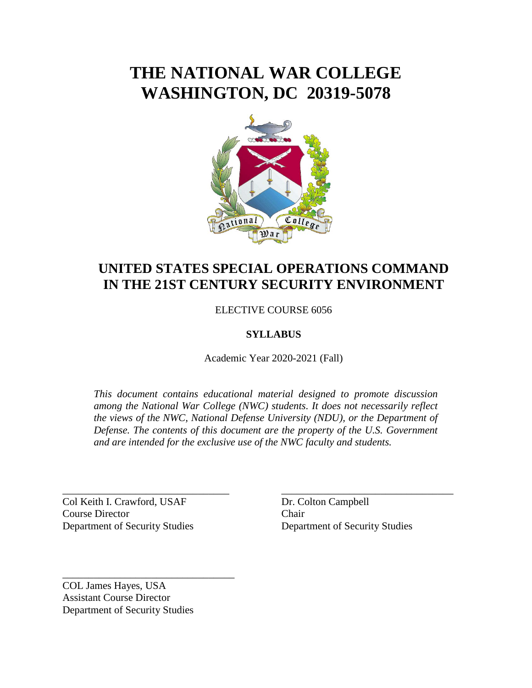# **THE NATIONAL WAR COLLEGE WASHINGTON, DC 20319-5078**



## **UNITED STATES SPECIAL OPERATIONS COMMAND IN THE 21ST CENTURY SECURITY ENVIRONMENT**

ELECTIVE COURSE 6056

### **SYLLABUS**

Academic Year 2020-2021 (Fall)

*This document contains educational material designed to promote discussion among the National War College (NWC) students. It does not necessarily reflect the views of the NWC, National Defense University (NDU), or the Department of Defense. The contents of this document are the property of the U.S. Government and are intended for the exclusive use of the NWC faculty and students.* 

\_\_\_\_\_\_\_\_\_\_\_\_\_\_\_\_\_\_\_\_\_\_\_\_\_\_\_\_\_\_\_\_ \_\_\_\_\_\_\_\_\_\_\_\_\_\_\_\_\_\_\_\_\_\_\_\_\_\_\_\_\_\_\_\_\_

Col Keith I. Crawford, USAF Dr. Colton Campbell Course Director Chair Department of Security Studies Department of Security Studies

COL James Hayes, USA Assistant Course Director Department of Security Studies

\_\_\_\_\_\_\_\_\_\_\_\_\_\_\_\_\_\_\_\_\_\_\_\_\_\_\_\_\_\_\_\_\_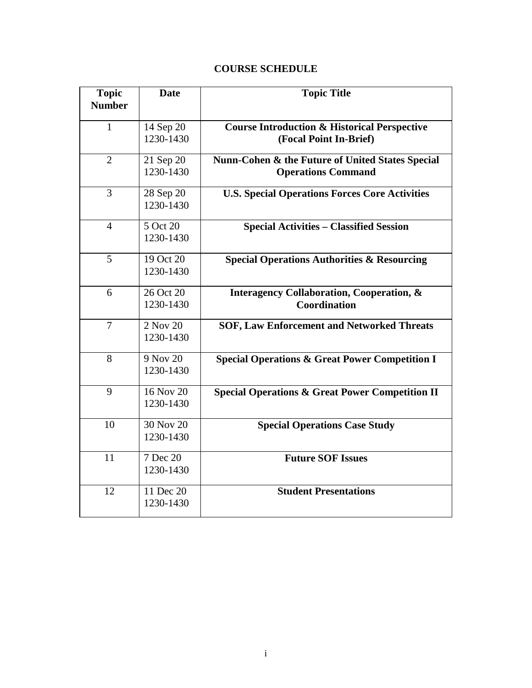### **COURSE SCHEDULE**

| <b>Topic</b><br><b>Number</b> | <b>Date</b>            | <b>Topic Title</b>                                                                |
|-------------------------------|------------------------|-----------------------------------------------------------------------------------|
| $\mathbf{1}$                  | 14 Sep 20<br>1230-1430 | <b>Course Introduction &amp; Historical Perspective</b><br>(Focal Point In-Brief) |
| $\overline{2}$                | 21 Sep 20<br>1230-1430 | Nunn-Cohen & the Future of United States Special<br><b>Operations Command</b>     |
| 3                             | 28 Sep 20<br>1230-1430 | <b>U.S. Special Operations Forces Core Activities</b>                             |
| $\overline{4}$                | 5 Oct 20<br>1230-1430  | <b>Special Activities - Classified Session</b>                                    |
| 5                             | 19 Oct 20<br>1230-1430 | <b>Special Operations Authorities &amp; Resourcing</b>                            |
| 6                             | 26 Oct 20<br>1230-1430 | <b>Interagency Collaboration, Cooperation, &amp;</b><br>Coordination              |
| $\overline{7}$                | 2 Nov 20<br>1230-1430  | <b>SOF, Law Enforcement and Networked Threats</b>                                 |
| 8                             | 9 Nov 20<br>1230-1430  | <b>Special Operations &amp; Great Power Competition I</b>                         |
| 9                             | 16 Nov 20<br>1230-1430 | <b>Special Operations &amp; Great Power Competition II</b>                        |
| 10                            | 30 Nov 20<br>1230-1430 | <b>Special Operations Case Study</b>                                              |
| 11                            | 7 Dec 20<br>1230-1430  | <b>Future SOF Issues</b>                                                          |
| 12                            | 11 Dec 20<br>1230-1430 | <b>Student Presentations</b>                                                      |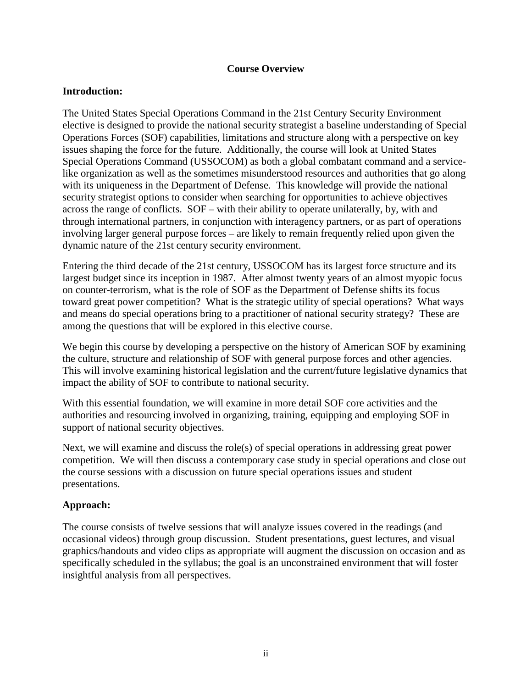#### **Course Overview**

#### **Introduction:**

The United States Special Operations Command in the 21st Century Security Environment elective is designed to provide the national security strategist a baseline understanding of Special Operations Forces (SOF) capabilities, limitations and structure along with a perspective on key issues shaping the force for the future. Additionally, the course will look at United States Special Operations Command (USSOCOM) as both a global combatant command and a servicelike organization as well as the sometimes misunderstood resources and authorities that go along with its uniqueness in the Department of Defense. This knowledge will provide the national security strategist options to consider when searching for opportunities to achieve objectives across the range of conflicts. SOF – with their ability to operate unilaterally, by, with and through international partners, in conjunction with interagency partners, or as part of operations involving larger general purpose forces – are likely to remain frequently relied upon given the dynamic nature of the 21st century security environment.

Entering the third decade of the 21st century, USSOCOM has its largest force structure and its largest budget since its inception in 1987. After almost twenty years of an almost myopic focus on counter-terrorism, what is the role of SOF as the Department of Defense shifts its focus toward great power competition? What is the strategic utility of special operations? What ways and means do special operations bring to a practitioner of national security strategy? These are among the questions that will be explored in this elective course.

We begin this course by developing a perspective on the history of American SOF by examining the culture, structure and relationship of SOF with general purpose forces and other agencies. This will involve examining historical legislation and the current/future legislative dynamics that impact the ability of SOF to contribute to national security.

With this essential foundation, we will examine in more detail SOF core activities and the authorities and resourcing involved in organizing, training, equipping and employing SOF in support of national security objectives.

Next, we will examine and discuss the role(s) of special operations in addressing great power competition. We will then discuss a contemporary case study in special operations and close out the course sessions with a discussion on future special operations issues and student presentations.

### **Approach:**

The course consists of twelve sessions that will analyze issues covered in the readings (and occasional videos) through group discussion. Student presentations, guest lectures, and visual graphics/handouts and video clips as appropriate will augment the discussion on occasion and as specifically scheduled in the syllabus; the goal is an unconstrained environment that will foster insightful analysis from all perspectives.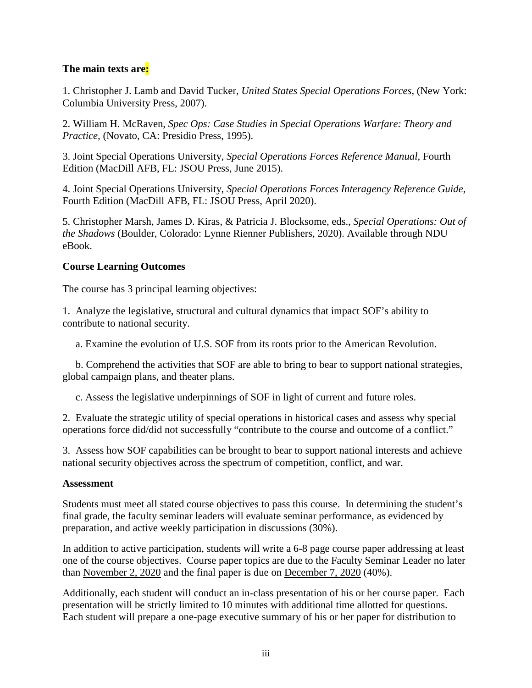### **The main texts are:**

1. Christopher J. Lamb and David Tucker, *United States Special Operations Forces*, (New York: Columbia University Press, 2007).

2. William H. McRaven, *Spec Ops: Case Studies in Special Operations Warfare: Theory and Practice*, (Novato, CA: Presidio Press, 1995).

3. Joint Special Operations University, *Special Operations Forces Reference Manual*, Fourth Edition (MacDill AFB, FL: JSOU Press, June 2015).

4. Joint Special Operations University, *Special Operations Forces Interagency Reference Guide*, Fourth Edition (MacDill AFB, FL: JSOU Press, April 2020).

5. Christopher Marsh, James D. Kiras, & Patricia J. Blocksome, eds., *Special Operations: Out of the Shadows* (Boulder, Colorado: Lynne Rienner Publishers, 2020). Available through NDU eBook.

### **Course Learning Outcomes**

The course has 3 principal learning objectives:

1. Analyze the legislative, structural and cultural dynamics that impact SOF's ability to contribute to national security.

a. Examine the evolution of U.S. SOF from its roots prior to the American Revolution.

 b. Comprehend the activities that SOF are able to bring to bear to support national strategies, global campaign plans, and theater plans.

c. Assess the legislative underpinnings of SOF in light of current and future roles.

2. Evaluate the strategic utility of special operations in historical cases and assess why special operations force did/did not successfully "contribute to the course and outcome of a conflict."

3. Assess how SOF capabilities can be brought to bear to support national interests and achieve national security objectives across the spectrum of competition, conflict, and war.

### **Assessment**

Students must meet all stated course objectives to pass this course. In determining the student's final grade, the faculty seminar leaders will evaluate seminar performance, as evidenced by preparation, and active weekly participation in discussions (30%).

In addition to active participation, students will write a 6-8 page course paper addressing at least one of the course objectives. Course paper topics are due to the Faculty Seminar Leader no later than November 2, 2020 and the final paper is due on December 7, 2020 (40%).

Additionally, each student will conduct an in-class presentation of his or her course paper. Each presentation will be strictly limited to 10 minutes with additional time allotted for questions. Each student will prepare a one-page executive summary of his or her paper for distribution to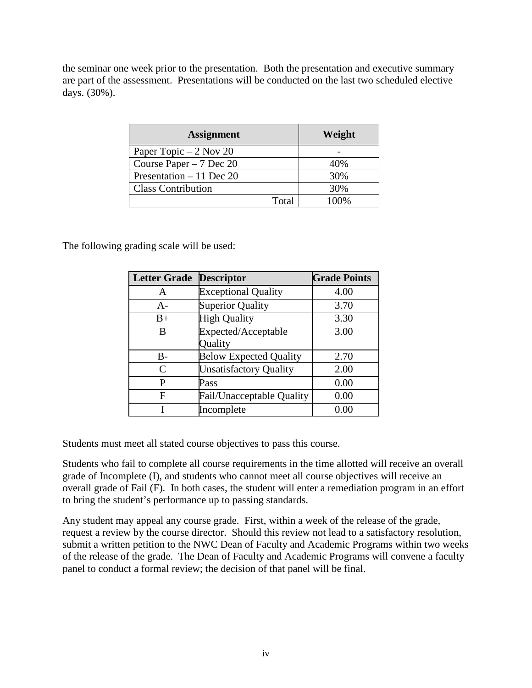the seminar one week prior to the presentation. Both the presentation and executive summary are part of the assessment. Presentations will be conducted on the last two scheduled elective days. (30%).

| <b>Assignment</b>         | Weight |
|---------------------------|--------|
| Paper Topic $-2$ Nov 20   |        |
| Course Paper $-7$ Dec 20  | 40%    |
| Presentation $-11$ Dec 20 | 30%    |
| <b>Class Contribution</b> | 30%    |
| Total                     | 100%   |

The following grading scale will be used:

| <b>Letter Grade</b> | <b>Descriptor</b>                | <b>Grade Points</b> |
|---------------------|----------------------------------|---------------------|
| A                   | <b>Exceptional Quality</b>       | 4.00                |
| A-                  | <b>Superior Quality</b>          | 3.70                |
| $B+$                | <b>High Quality</b>              | 3.30                |
| B                   | Expected/Acceptable              | 3.00                |
|                     | Quality                          |                     |
| B-                  | <b>Below Expected Quality</b>    | 2.70                |
| C                   | <b>Unsatisfactory Quality</b>    | 2.00                |
| P                   | Pass                             | 0.00                |
| F                   | <b>Fail/Unacceptable Quality</b> | 0.00                |
|                     | Incomplete                       | 0.00                |

Students must meet all stated course objectives to pass this course.

Students who fail to complete all course requirements in the time allotted will receive an overall grade of Incomplete (I), and students who cannot meet all course objectives will receive an overall grade of Fail (F). In both cases, the student will enter a remediation program in an effort to bring the student's performance up to passing standards.

Any student may appeal any course grade. First, within a week of the release of the grade, request a review by the course director. Should this review not lead to a satisfactory resolution, submit a written petition to the NWC Dean of Faculty and Academic Programs within two weeks of the release of the grade. The Dean of Faculty and Academic Programs will convene a faculty panel to conduct a formal review; the decision of that panel will be final.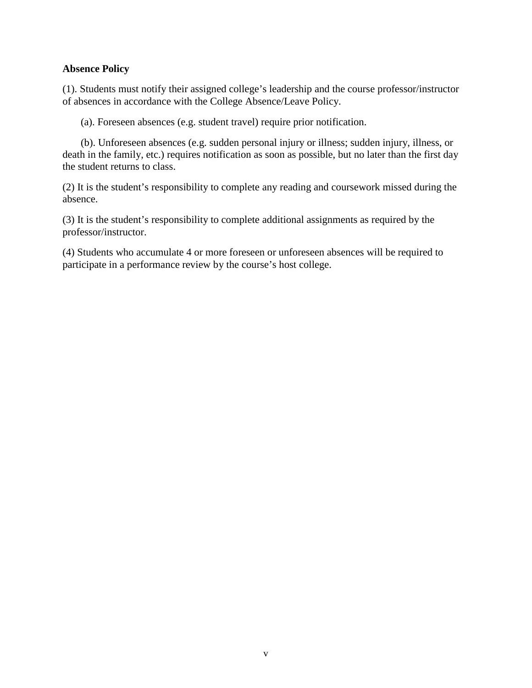#### **Absence Policy**

(1). Students must notify their assigned college's leadership and the course professor/instructor of absences in accordance with the College Absence/Leave Policy.

(a). Foreseen absences (e.g. student travel) require prior notification.

 (b). Unforeseen absences (e.g. sudden personal injury or illness; sudden injury, illness, or death in the family, etc.) requires notification as soon as possible, but no later than the first day the student returns to class.

(2) It is the student's responsibility to complete any reading and coursework missed during the absence.

(3) It is the student's responsibility to complete additional assignments as required by the professor/instructor.

(4) Students who accumulate 4 or more foreseen or unforeseen absences will be required to participate in a performance review by the course's host college.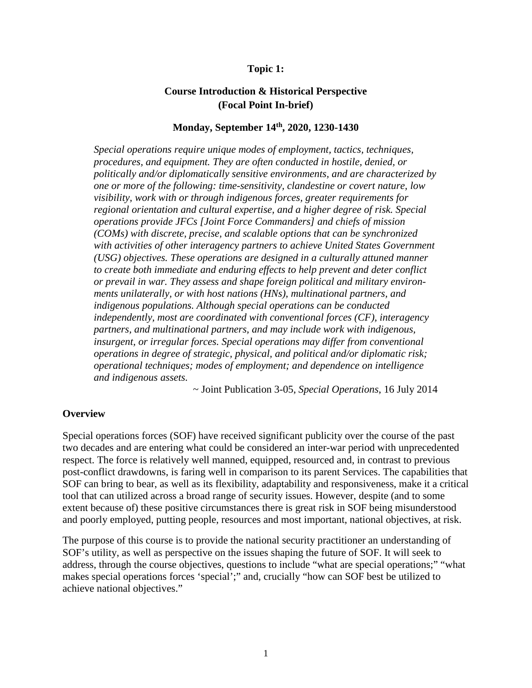#### **Topic 1:**

### **Course Introduction & Historical Perspective (Focal Point In-brief)**

#### **Monday, September 14th, 2020, 1230-1430**

*Special operations require unique modes of employment, tactics, techniques, procedures, and equipment. They are often conducted in hostile, denied, or politically and/or diplomatically sensitive environments, and are characterized by one or more of the following: time-sensitivity, clandestine or covert nature, low visibility, work with or through indigenous forces, greater requirements for regional orientation and cultural expertise, and a higher degree of risk. Special operations provide JFCs [Joint Force Commanders] and chiefs of mission (COMs) with discrete, precise, and scalable options that can be synchronized with activities of other interagency partners to achieve United States Government (USG) objectives. These operations are designed in a culturally attuned manner to create both immediate and enduring effects to help prevent and deter conflict or prevail in war. They assess and shape foreign political and military environments unilaterally, or with host nations (HNs), multinational partners, and indigenous populations. Although special operations can be conducted independently, most are coordinated with conventional forces (CF), interagency partners, and multinational partners, and may include work with indigenous, insurgent, or irregular forces. Special operations may differ from conventional operations in degree of strategic, physical, and political and/or diplomatic risk; operational techniques; modes of employment; and dependence on intelligence and indigenous assets.*

~ Joint Publication 3-05, *Special Operations*, 16 July 2014

#### **Overview**

Special operations forces (SOF) have received significant publicity over the course of the past two decades and are entering what could be considered an inter-war period with unprecedented respect. The force is relatively well manned, equipped, resourced and, in contrast to previous post-conflict drawdowns, is faring well in comparison to its parent Services. The capabilities that SOF can bring to bear, as well as its flexibility, adaptability and responsiveness, make it a critical tool that can utilized across a broad range of security issues. However, despite (and to some extent because of) these positive circumstances there is great risk in SOF being misunderstood and poorly employed, putting people, resources and most important, national objectives, at risk.

The purpose of this course is to provide the national security practitioner an understanding of SOF's utility, as well as perspective on the issues shaping the future of SOF. It will seek to address, through the course objectives, questions to include "what are special operations;" "what makes special operations forces 'special';" and, crucially "how can SOF best be utilized to achieve national objectives."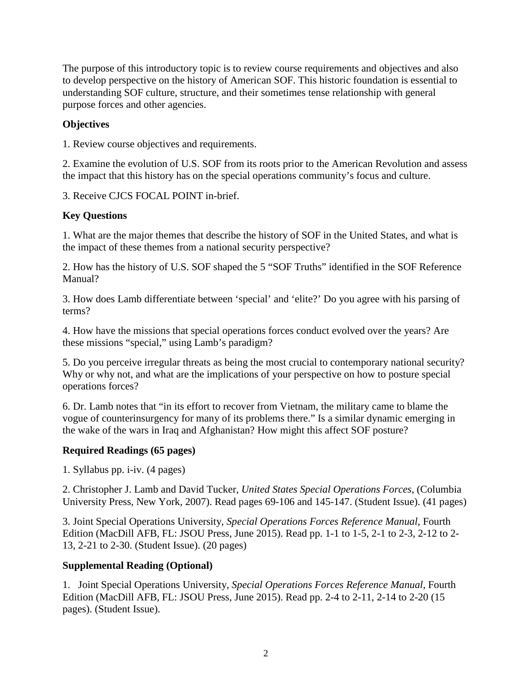The purpose of this introductory topic is to review course requirements and objectives and also to develop perspective on the history of American SOF. This historic foundation is essential to understanding SOF culture, structure, and their sometimes tense relationship with general purpose forces and other agencies.

### **Objectives**

1. Review course objectives and requirements.

2. Examine the evolution of U.S. SOF from its roots prior to the American Revolution and assess the impact that this history has on the special operations community's focus and culture.

3. Receive CJCS FOCAL POINT in-brief.

### **Key Questions**

1. What are the major themes that describe the history of SOF in the United States, and what is the impact of these themes from a national security perspective?

2. How has the history of U.S. SOF shaped the 5 "SOF Truths" identified in the SOF Reference Manual?

3. How does Lamb differentiate between 'special' and 'elite?' Do you agree with his parsing of terms?

4. How have the missions that special operations forces conduct evolved over the years? Are these missions "special," using Lamb's paradigm?

5. Do you perceive irregular threats as being the most crucial to contemporary national security? Why or why not, and what are the implications of your perspective on how to posture special operations forces?

6. Dr. Lamb notes that "in its effort to recover from Vietnam, the military came to blame the vogue of counterinsurgency for many of its problems there." Is a similar dynamic emerging in the wake of the wars in Iraq and Afghanistan? How might this affect SOF posture?

### **Required Readings (65 pages)**

1. Syllabus pp. i-iv. (4 pages)

2. Christopher J. Lamb and David Tucker, *United States Special Operations Forces*, (Columbia University Press, New York, 2007). Read pages 69-106 and 145-147. (Student Issue). (41 pages)

3. Joint Special Operations University, *Special Operations Forces Reference Manual*, Fourth Edition (MacDill AFB, FL: JSOU Press, June 2015). Read pp. 1-1 to 1-5, 2-1 to 2-3, 2-12 to 2- 13, 2-21 to 2-30. (Student Issue). (20 pages)

### **Supplemental Reading (Optional)**

1. Joint Special Operations University, *Special Operations Forces Reference Manual*, Fourth Edition (MacDill AFB, FL: JSOU Press, June 2015). Read pp. 2-4 to 2-11, 2-14 to 2-20 (15 pages). (Student Issue).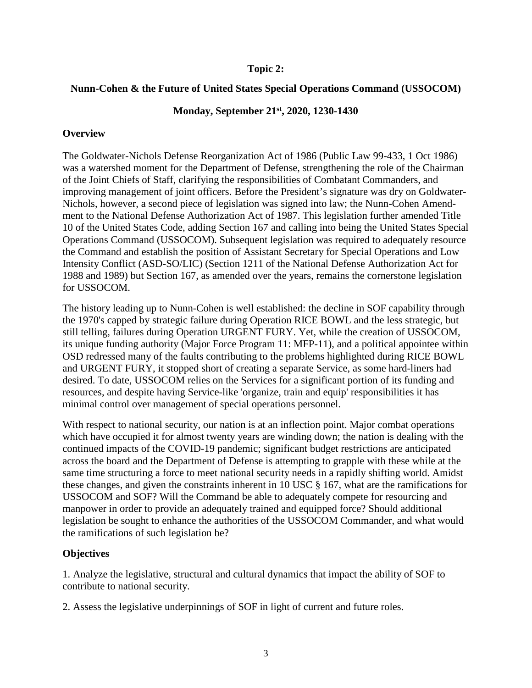#### **Topic 2:**

#### **Nunn-Cohen & the Future of United States Special Operations Command (USSOCOM)**

### **Monday, September 21st, 2020, 1230-1430**

#### **Overview**

The Goldwater-Nichols Defense Reorganization Act of 1986 (Public Law 99-433, 1 Oct 1986) was a watershed moment for the Department of Defense, strengthening the role of the Chairman of the Joint Chiefs of Staff, clarifying the responsibilities of Combatant Commanders, and improving management of joint officers. Before the President's signature was dry on Goldwater-Nichols, however, a second piece of legislation was signed into law; the Nunn-Cohen Amendment to the National Defense Authorization Act of 1987. This legislation further amended Title 10 of the United States Code, adding Section 167 and calling into being the United States Special Operations Command (USSOCOM). Subsequent legislation was required to adequately resource the Command and establish the position of Assistant Secretary for Special Operations and Low Intensity Conflict (ASD-SO/LIC) (Section 1211 of the National Defense Authorization Act for 1988 and 1989) but Section 167, as amended over the years, remains the cornerstone legislation for USSOCOM.

The history leading up to Nunn-Cohen is well established: the decline in SOF capability through the 1970's capped by strategic failure during Operation RICE BOWL and the less strategic, but still telling, failures during Operation URGENT FURY. Yet, while the creation of USSOCOM, its unique funding authority (Major Force Program 11: MFP-11), and a political appointee within OSD redressed many of the faults contributing to the problems highlighted during RICE BOWL and URGENT FURY, it stopped short of creating a separate Service, as some hard-liners had desired. To date, USSOCOM relies on the Services for a significant portion of its funding and resources, and despite having Service-like 'organize, train and equip' responsibilities it has minimal control over management of special operations personnel.

With respect to national security, our nation is at an inflection point. Major combat operations which have occupied it for almost twenty years are winding down; the nation is dealing with the continued impacts of the COVID-19 pandemic; significant budget restrictions are anticipated across the board and the Department of Defense is attempting to grapple with these while at the same time structuring a force to meet national security needs in a rapidly shifting world. Amidst these changes, and given the constraints inherent in 10 USC § 167, what are the ramifications for USSOCOM and SOF? Will the Command be able to adequately compete for resourcing and manpower in order to provide an adequately trained and equipped force? Should additional legislation be sought to enhance the authorities of the USSOCOM Commander, and what would the ramifications of such legislation be?

### **Objectives**

1. Analyze the legislative, structural and cultural dynamics that impact the ability of SOF to contribute to national security.

2. Assess the legislative underpinnings of SOF in light of current and future roles.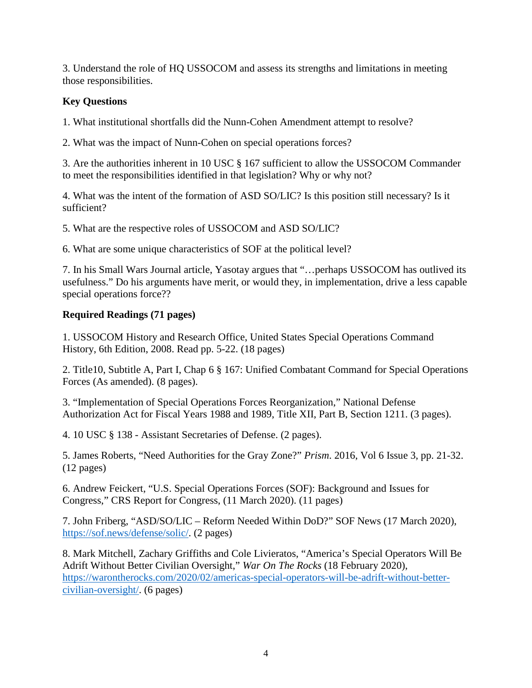3. Understand the role of HQ USSOCOM and assess its strengths and limitations in meeting those responsibilities.

### **Key Questions**

1. What institutional shortfalls did the Nunn-Cohen Amendment attempt to resolve?

2. What was the impact of Nunn-Cohen on special operations forces?

3. Are the authorities inherent in 10 USC § 167 sufficient to allow the USSOCOM Commander to meet the responsibilities identified in that legislation? Why or why not?

4. What was the intent of the formation of ASD SO/LIC? Is this position still necessary? Is it sufficient?

5. What are the respective roles of USSOCOM and ASD SO/LIC?

6. What are some unique characteristics of SOF at the political level?

7. In his Small Wars Journal article, Yasotay argues that "…perhaps USSOCOM has outlived its usefulness." Do his arguments have merit, or would they, in implementation, drive a less capable special operations force??

### **Required Readings (71 pages)**

1. USSOCOM History and Research Office, United States Special Operations Command History, 6th Edition, 2008. Read pp. 5-22. (18 pages)

2. Title10, Subtitle A, Part I, Chap 6 § 167: Unified Combatant Command for Special Operations Forces (As amended). (8 pages).

3. "Implementation of Special Operations Forces Reorganization," National Defense Authorization Act for Fiscal Years 1988 and 1989, Title XII, Part B, Section 1211. (3 pages).

4. 10 USC § 138 - Assistant Secretaries of Defense. (2 pages).

5. James Roberts, "Need Authorities for the Gray Zone?" *Prism*. 2016, Vol 6 Issue 3, pp. 21-32. (12 pages)

6. Andrew Feickert, "U.S. Special Operations Forces (SOF): Background and Issues for Congress," CRS Report for Congress, (11 March 2020). (11 pages)

7. John Friberg, "ASD/SO/LIC – Reform Needed Within DoD?" SOF News (17 March 2020), [https://sof.news/defense/solic/.](https://sof.news/defense/solic/) (2 pages)

8. Mark Mitchell, Zachary Griffiths and Cole Livieratos, "America's Special Operators Will Be Adrift Without Better Civilian Oversight," *War On The Rocks* (18 February 2020), [https://warontherocks.com/2020/02/americas-special-operators-will-be-adrift-without-better](https://warontherocks.com/2020/02/americas-special-operators-will-be-adrift-without-better-civilian-oversight/)[civilian-oversight/.](https://warontherocks.com/2020/02/americas-special-operators-will-be-adrift-without-better-civilian-oversight/) (6 pages)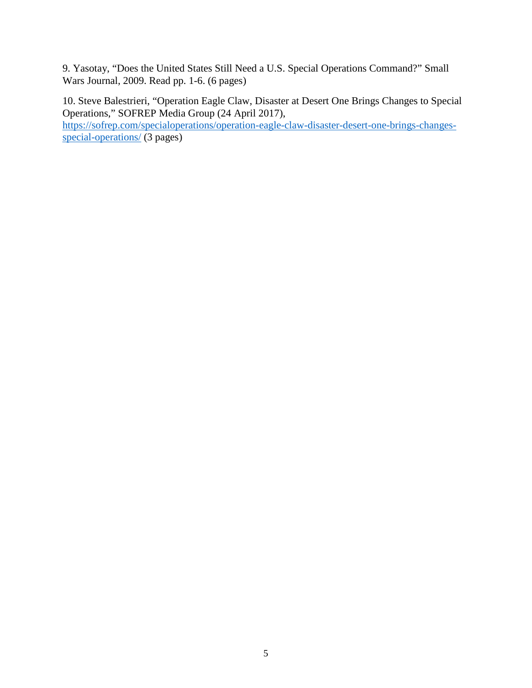9. Yasotay, "Does the United States Still Need a U.S. Special Operations Command?" Small Wars Journal, 2009. Read pp. 1-6. (6 pages)

10. Steve Balestrieri, "Operation Eagle Claw, Disaster at Desert One Brings Changes to Special Operations," SOFREP Media Group (24 April 2017), [https://sofrep.com/specialoperations/operation-eagle-claw-disaster-desert-one-brings-changes](https://sofrep.com/specialoperations/operation-eagle-claw-disaster-desert-one-brings-changes-special-operations/)[special-operations/](https://sofrep.com/specialoperations/operation-eagle-claw-disaster-desert-one-brings-changes-special-operations/) (3 pages)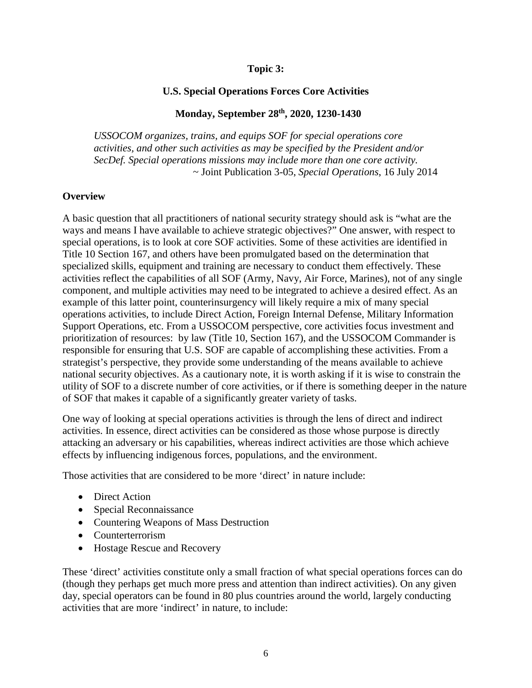#### **Topic 3:**

#### **U.S. Special Operations Forces Core Activities**

#### **Monday, September 28th, 2020, 1230-1430**

*USSOCOM organizes, trains, and equips SOF for special operations core activities, and other such activities as may be specified by the President and/or SecDef. Special operations missions may include more than one core activity.* ~ Joint Publication 3-05, *Special Operations*, 16 July 2014

#### **Overview**

A basic question that all practitioners of national security strategy should ask is "what are the ways and means I have available to achieve strategic objectives?" One answer, with respect to special operations, is to look at core SOF activities. Some of these activities are identified in Title 10 Section 167, and others have been promulgated based on the determination that specialized skills, equipment and training are necessary to conduct them effectively. These activities reflect the capabilities of all SOF (Army, Navy, Air Force, Marines), not of any single component, and multiple activities may need to be integrated to achieve a desired effect. As an example of this latter point, counterinsurgency will likely require a mix of many special operations activities, to include Direct Action, Foreign Internal Defense, Military Information Support Operations, etc. From a USSOCOM perspective, core activities focus investment and prioritization of resources: by law (Title 10, Section 167), and the USSOCOM Commander is responsible for ensuring that U.S. SOF are capable of accomplishing these activities. From a strategist's perspective, they provide some understanding of the means available to achieve national security objectives. As a cautionary note, it is worth asking if it is wise to constrain the utility of SOF to a discrete number of core activities, or if there is something deeper in the nature of SOF that makes it capable of a significantly greater variety of tasks.

One way of looking at special operations activities is through the lens of direct and indirect activities. In essence, direct activities can be considered as those whose purpose is directly attacking an adversary or his capabilities, whereas indirect activities are those which achieve effects by influencing indigenous forces, populations, and the environment.

Those activities that are considered to be more 'direct' in nature include:

- Direct Action
- Special Reconnaissance
- Countering Weapons of Mass Destruction
- Counterterrorism
- Hostage Rescue and Recovery

These 'direct' activities constitute only a small fraction of what special operations forces can do (though they perhaps get much more press and attention than indirect activities). On any given day, special operators can be found in 80 plus countries around the world, largely conducting activities that are more 'indirect' in nature, to include: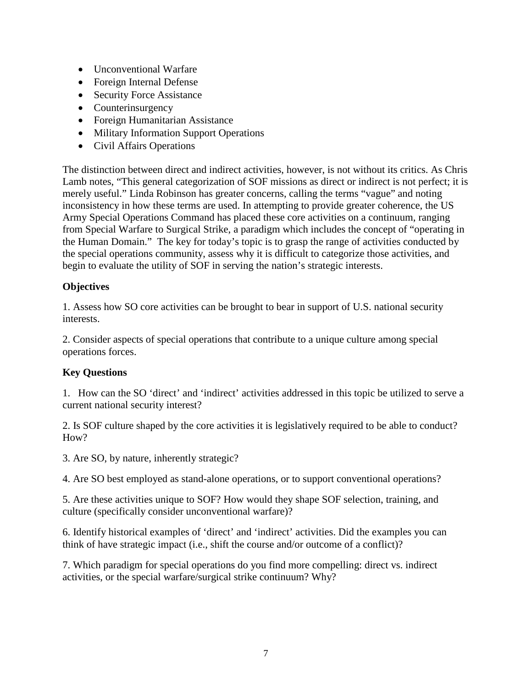- Unconventional Warfare
- Foreign Internal Defense
- Security Force Assistance
- Counterinsurgency
- Foreign Humanitarian Assistance
- Military Information Support Operations
- Civil Affairs Operations

The distinction between direct and indirect activities, however, is not without its critics. As Chris Lamb notes, "This general categorization of SOF missions as direct or indirect is not perfect; it is merely useful." Linda Robinson has greater concerns, calling the terms "vague" and noting inconsistency in how these terms are used. In attempting to provide greater coherence, the US Army Special Operations Command has placed these core activities on a continuum, ranging from Special Warfare to Surgical Strike, a paradigm which includes the concept of "operating in the Human Domain." The key for today's topic is to grasp the range of activities conducted by the special operations community, assess why it is difficult to categorize those activities, and begin to evaluate the utility of SOF in serving the nation's strategic interests.

### **Objectives**

1. Assess how SO core activities can be brought to bear in support of U.S. national security interests.

2. Consider aspects of special operations that contribute to a unique culture among special operations forces.

### **Key Questions**

1. How can the SO 'direct' and 'indirect' activities addressed in this topic be utilized to serve a current national security interest?

2. Is SOF culture shaped by the core activities it is legislatively required to be able to conduct? How?

3. Are SO, by nature, inherently strategic?

4. Are SO best employed as stand-alone operations, or to support conventional operations?

5. Are these activities unique to SOF? How would they shape SOF selection, training, and culture (specifically consider unconventional warfare)?

6. Identify historical examples of 'direct' and 'indirect' activities. Did the examples you can think of have strategic impact (i.e., shift the course and/or outcome of a conflict)?

7. Which paradigm for special operations do you find more compelling: direct vs. indirect activities, or the special warfare/surgical strike continuum? Why?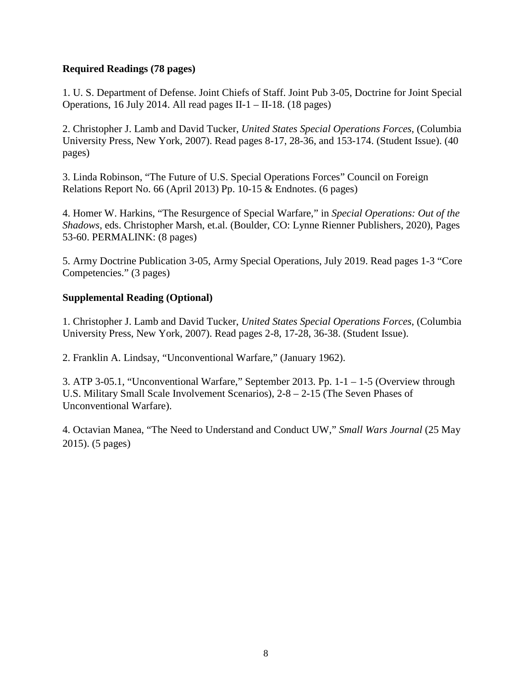### **Required Readings (78 pages)**

1. U. S. Department of Defense. Joint Chiefs of Staff. Joint Pub 3-05, Doctrine for Joint Special Operations, 16 July 2014. All read pages II-1 – II-18. (18 pages)

2. Christopher J. Lamb and David Tucker, *United States Special Operations Forces*, (Columbia University Press, New York, 2007). Read pages 8-17, 28-36, and 153-174. (Student Issue). (40 pages)

3. Linda Robinson, "The Future of U.S. Special Operations Forces" Council on Foreign Relations Report No. 66 (April 2013) Pp. 10-15 & Endnotes. (6 pages)

4. Homer W. Harkins, "The Resurgence of Special Warfare," in *Special Operations: Out of the Shadows*, eds. Christopher Marsh, et.al. (Boulder, CO: Lynne Rienner Publishers, 2020), Pages 53-60. PERMALINK: (8 pages)

5. Army Doctrine Publication 3-05, Army Special Operations, July 2019. Read pages 1-3 "Core Competencies." (3 pages)

#### **Supplemental Reading (Optional)**

1. Christopher J. Lamb and David Tucker, *United States Special Operations Forces*, (Columbia University Press, New York, 2007). Read pages 2-8, 17-28, 36-38. (Student Issue).

2. Franklin A. Lindsay, "Unconventional Warfare," (January 1962).

3. ATP 3-05.1, "Unconventional Warfare," September 2013. Pp. 1-1 – 1-5 (Overview through U.S. Military Small Scale Involvement Scenarios), 2-8 – 2-15 (The Seven Phases of Unconventional Warfare).

4. Octavian Manea, "The Need to Understand and Conduct UW," *Small Wars Journal* (25 May 2015). (5 pages)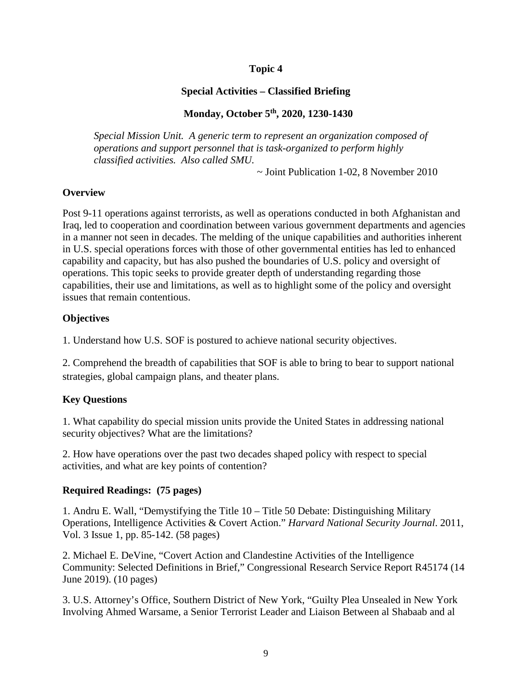### **Special Activities – Classified Briefing**

### **Monday, October 5th, 2020, 1230-1430**

*Special Mission Unit. A generic term to represent an organization composed of operations and support personnel that is task-organized to perform highly classified activities. Also called SMU.*

~ Joint Publication 1-02, 8 November 2010

### **Overview**

Post 9-11 operations against terrorists, as well as operations conducted in both Afghanistan and Iraq, led to cooperation and coordination between various government departments and agencies in a manner not seen in decades. The melding of the unique capabilities and authorities inherent in U.S. special operations forces with those of other governmental entities has led to enhanced capability and capacity, but has also pushed the boundaries of U.S. policy and oversight of operations. This topic seeks to provide greater depth of understanding regarding those capabilities, their use and limitations, as well as to highlight some of the policy and oversight issues that remain contentious.

### **Objectives**

1. Understand how U.S. SOF is postured to achieve national security objectives.

2. Comprehend the breadth of capabilities that SOF is able to bring to bear to support national strategies, global campaign plans, and theater plans.

### **Key Questions**

1. What capability do special mission units provide the United States in addressing national security objectives? What are the limitations?

2. How have operations over the past two decades shaped policy with respect to special activities, and what are key points of contention?

### **Required Readings: (75 pages)**

1. Andru E. Wall, "Demystifying the Title 10 – Title 50 Debate: Distinguishing Military Operations, Intelligence Activities & Covert Action." *Harvard National Security Journal*. 2011, Vol. 3 Issue 1, pp. 85-142. (58 pages)

2. Michael E. DeVine, "Covert Action and Clandestine Activities of the Intelligence Community: Selected Definitions in Brief," Congressional Research Service Report R45174 (14 June 2019). (10 pages)

3. U.S. Attorney's Office, Southern District of New York, "Guilty Plea Unsealed in New York Involving Ahmed Warsame, a Senior Terrorist Leader and Liaison Between al Shabaab and al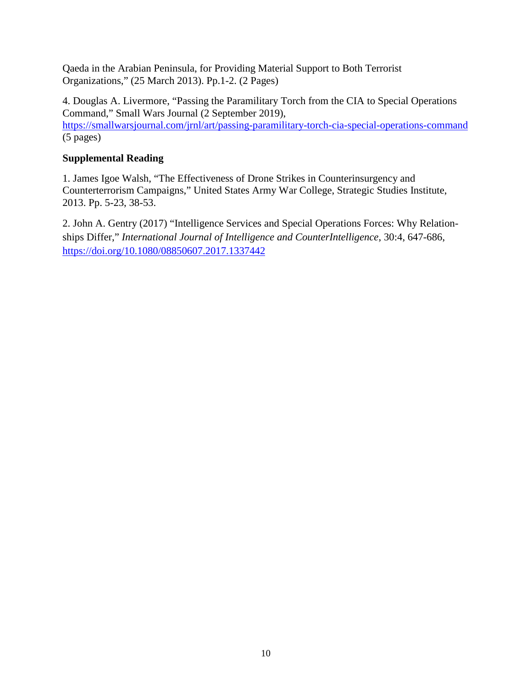Qaeda in the Arabian Peninsula, for Providing Material Support to Both Terrorist Organizations," (25 March 2013). Pp.1-2. (2 Pages)

4. Douglas A. Livermore, "Passing the Paramilitary Torch from the CIA to Special Operations Command," Small Wars Journal (2 September 2019), <https://smallwarsjournal.com/jrnl/art/passing-paramilitary-torch-cia-special-operations-command> (5 pages)

### **Supplemental Reading**

1. James Igoe Walsh, "The Effectiveness of Drone Strikes in Counterinsurgency and Counterterrorism Campaigns," United States Army War College, Strategic Studies Institute, 2013. Pp. 5-23, 38-53.

2. John A. Gentry (2017) "Intelligence Services and Special Operations Forces: Why Relationships Differ," *International Journal of Intelligence and CounterIntelligence*, 30:4, 647-686, <https://doi.org/10.1080/08850607.2017.1337442>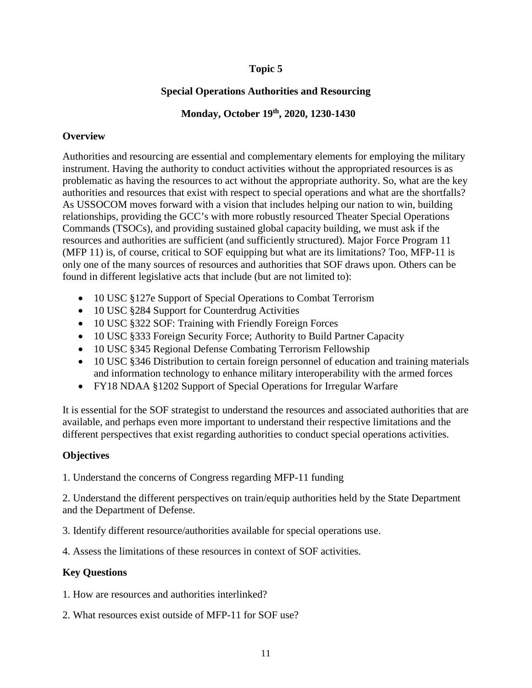### **Special Operations Authorities and Resourcing**

### **Monday, October 19th, 2020, 1230-1430**

### **Overview**

Authorities and resourcing are essential and complementary elements for employing the military instrument. Having the authority to conduct activities without the appropriated resources is as problematic as having the resources to act without the appropriate authority. So, what are the key authorities and resources that exist with respect to special operations and what are the shortfalls? As USSOCOM moves forward with a vision that includes helping our nation to win, building relationships, providing the GCC's with more robustly resourced Theater Special Operations Commands (TSOCs), and providing sustained global capacity building, we must ask if the resources and authorities are sufficient (and sufficiently structured). Major Force Program 11 (MFP 11) is, of course, critical to SOF equipping but what are its limitations? Too, MFP-11 is only one of the many sources of resources and authorities that SOF draws upon. Others can be found in different legislative acts that include (but are not limited to):

- 10 USC §127e Support of Special Operations to Combat Terrorism
- 10 USC §284 Support for Counterdrug Activities
- 10 USC §322 SOF: Training with Friendly Foreign Forces
- 10 USC §333 Foreign Security Force; Authority to Build Partner Capacity
- 10 USC §345 Regional Defense Combating Terrorism Fellowship
- 10 USC §346 Distribution to certain foreign personnel of education and training materials and information technology to enhance military interoperability with the armed forces
- FY18 NDAA §1202 Support of Special Operations for Irregular Warfare

It is essential for the SOF strategist to understand the resources and associated authorities that are available, and perhaps even more important to understand their respective limitations and the different perspectives that exist regarding authorities to conduct special operations activities.

### **Objectives**

1. Understand the concerns of Congress regarding MFP-11 funding

2. Understand the different perspectives on train/equip authorities held by the State Department and the Department of Defense.

3. Identify different resource/authorities available for special operations use.

4. Assess the limitations of these resources in context of SOF activities.

### **Key Questions**

1. How are resources and authorities interlinked?

2. What resources exist outside of MFP-11 for SOF use?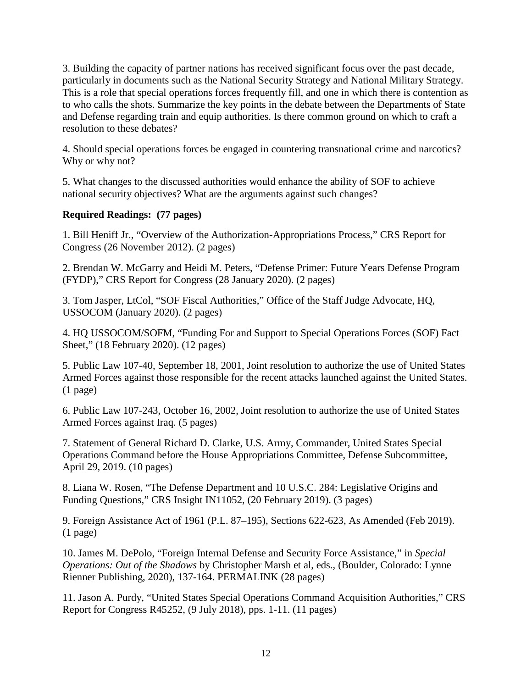3. Building the capacity of partner nations has received significant focus over the past decade, particularly in documents such as the National Security Strategy and National Military Strategy. This is a role that special operations forces frequently fill, and one in which there is contention as to who calls the shots. Summarize the key points in the debate between the Departments of State and Defense regarding train and equip authorities. Is there common ground on which to craft a resolution to these debates?

4. Should special operations forces be engaged in countering transnational crime and narcotics? Why or why not?

5. What changes to the discussed authorities would enhance the ability of SOF to achieve national security objectives? What are the arguments against such changes?

### **Required Readings: (77 pages)**

1. Bill Heniff Jr., "Overview of the Authorization-Appropriations Process," CRS Report for Congress (26 November 2012). (2 pages)

2. Brendan W. McGarry and Heidi M. Peters, "Defense Primer: Future Years Defense Program (FYDP)," CRS Report for Congress (28 January 2020). (2 pages)

3. Tom Jasper, LtCol, "SOF Fiscal Authorities," Office of the Staff Judge Advocate, HQ, USSOCOM (January 2020). (2 pages)

4. HQ USSOCOM/SOFM, "Funding For and Support to Special Operations Forces (SOF) Fact Sheet," (18 February 2020). (12 pages)

5. Public Law 107-40, September 18, 2001, Joint resolution to authorize the use of United States Armed Forces against those responsible for the recent attacks launched against the United States. (1 page)

6. Public Law 107-243, October 16, 2002, Joint resolution to authorize the use of United States Armed Forces against Iraq. (5 pages)

7. Statement of General Richard D. Clarke, U.S. Army, Commander, United States Special Operations Command before the House Appropriations Committee, Defense Subcommittee, April 29, 2019. (10 pages)

8. Liana W. Rosen, "The Defense Department and 10 U.S.C. 284: Legislative Origins and Funding Questions," CRS Insight IN11052, (20 February 2019). (3 pages)

9. Foreign Assistance Act of 1961 (P.L. 87–195), Sections 622-623, As Amended (Feb 2019). (1 page)

10. James M. DePolo, "Foreign Internal Defense and Security Force Assistance," in *Special Operations: Out of the Shadows* by Christopher Marsh et al, eds., (Boulder, Colorado: Lynne Rienner Publishing, 2020), 137-164. PERMALINK (28 pages)

11. Jason A. Purdy, "United States Special Operations Command Acquisition Authorities," CRS Report for Congress R45252, (9 July 2018), pps. 1-11. (11 pages)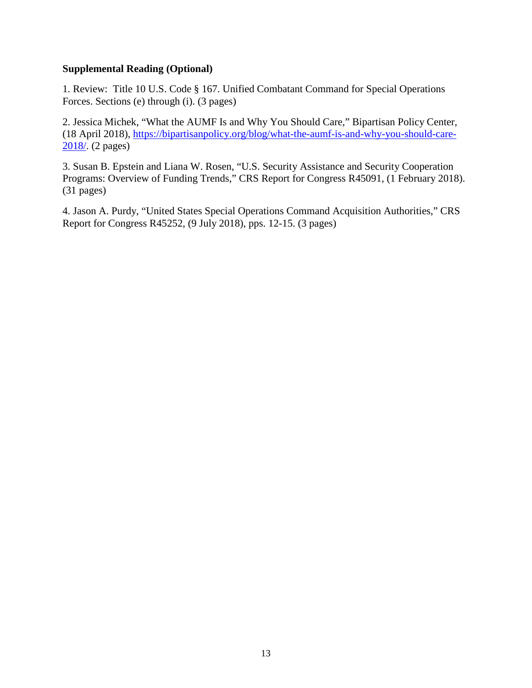### **Supplemental Reading (Optional)**

1. Review: Title 10 U.S. Code § 167. Unified Combatant Command for Special Operations Forces. Sections (e) through (i). (3 pages)

2. Jessica Michek, "What the AUMF Is and Why You Should Care," Bipartisan Policy Center, (18 April 2018), [https://bipartisanpolicy.org/blog/what-the-aumf-is-and-why-you-should-care-](https://bipartisanpolicy.org/blog/what-the-aumf-is-and-why-you-should-care-2018/)[2018/.](https://bipartisanpolicy.org/blog/what-the-aumf-is-and-why-you-should-care-2018/) (2 pages)

3. Susan B. Epstein and Liana W. Rosen, "U.S. Security Assistance and Security Cooperation Programs: Overview of Funding Trends," CRS Report for Congress R45091, (1 February 2018). (31 pages)

4. Jason A. Purdy, "United States Special Operations Command Acquisition Authorities," CRS Report for Congress R45252, (9 July 2018), pps. 12-15. (3 pages)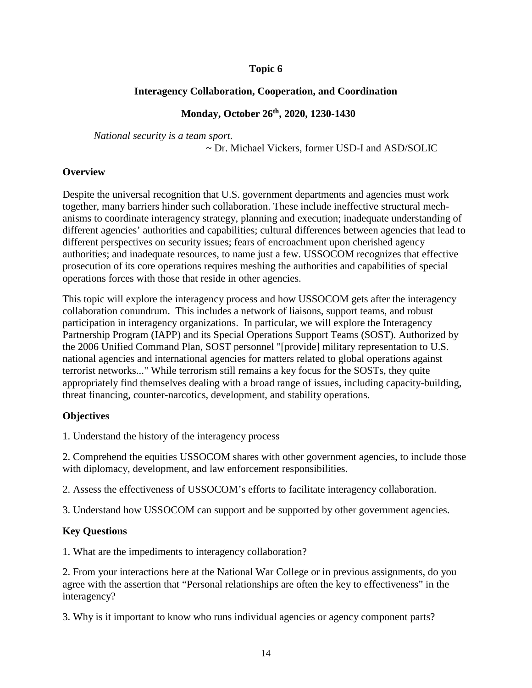### **Interagency Collaboration, Cooperation, and Coordination**

#### **Monday, October 26th, 2020, 1230-1430**

*National security is a team sport.*

~ Dr. Michael Vickers, former USD-I and ASD/SOLIC

#### **Overview**

Despite the universal recognition that U.S. government departments and agencies must work together, many barriers hinder such collaboration. These include ineffective structural mechanisms to coordinate interagency strategy, planning and execution; inadequate understanding of different agencies' authorities and capabilities; cultural differences between agencies that lead to different perspectives on security issues; fears of encroachment upon cherished agency authorities; and inadequate resources, to name just a few. USSOCOM recognizes that effective prosecution of its core operations requires meshing the authorities and capabilities of special operations forces with those that reside in other agencies.

This topic will explore the interagency process and how USSOCOM gets after the interagency collaboration conundrum. This includes a network of liaisons, support teams, and robust participation in interagency organizations. In particular, we will explore the Interagency Partnership Program (IAPP) and its Special Operations Support Teams (SOST). Authorized by the 2006 Unified Command Plan, SOST personnel "[provide] military representation to U.S. national agencies and international agencies for matters related to global operations against terrorist networks..." While terrorism still remains a key focus for the SOSTs, they quite appropriately find themselves dealing with a broad range of issues, including capacity-building, threat financing, counter-narcotics, development, and stability operations.

### **Objectives**

1. Understand the history of the interagency process

2. Comprehend the equities USSOCOM shares with other government agencies, to include those with diplomacy, development, and law enforcement responsibilities.

2. Assess the effectiveness of USSOCOM's efforts to facilitate interagency collaboration.

3. Understand how USSOCOM can support and be supported by other government agencies.

### **Key Questions**

1. What are the impediments to interagency collaboration?

2. From your interactions here at the National War College or in previous assignments, do you agree with the assertion that "Personal relationships are often the key to effectiveness" in the interagency?

3. Why is it important to know who runs individual agencies or agency component parts?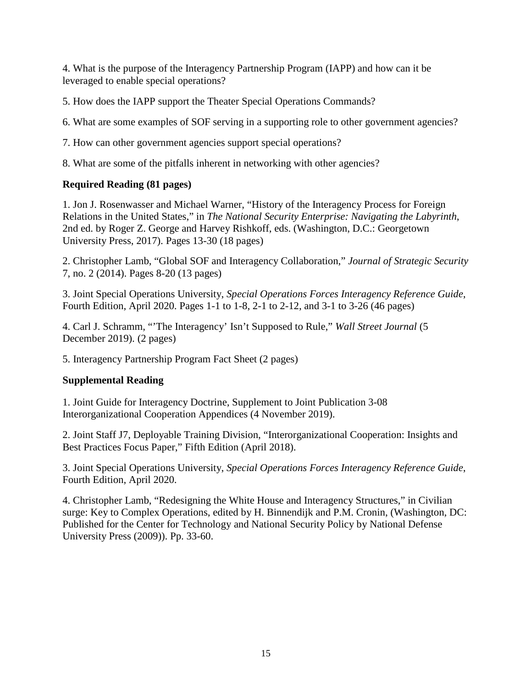4. What is the purpose of the Interagency Partnership Program (IAPP) and how can it be leveraged to enable special operations?

5. How does the IAPP support the Theater Special Operations Commands?

6. What are some examples of SOF serving in a supporting role to other government agencies?

7. How can other government agencies support special operations?

8. What are some of the pitfalls inherent in networking with other agencies?

### **Required Reading (81 pages)**

1. Jon J. Rosenwasser and Michael Warner, "History of the Interagency Process for Foreign Relations in the United States," in *The National Security Enterprise: Navigating the Labyrinth*, 2nd ed. by Roger Z. George and Harvey Rishkoff, eds. (Washington, D.C.: Georgetown University Press, 2017). Pages 13-30 (18 pages)

2. Christopher Lamb, "Global SOF and Interagency Collaboration," *Journal of Strategic Security* 7, no. 2 (2014). Pages 8-20 (13 pages)

3. Joint Special Operations University, *Special Operations Forces Interagency Reference Guide*, Fourth Edition, April 2020. Pages 1-1 to 1-8, 2-1 to 2-12, and 3-1 to 3-26 (46 pages)

4. Carl J. Schramm, "'The Interagency' Isn't Supposed to Rule," *Wall Street Journal* (5 December 2019). (2 pages)

5. Interagency Partnership Program Fact Sheet (2 pages)

### **Supplemental Reading**

1. Joint Guide for Interagency Doctrine, Supplement to Joint Publication 3-08 Interorganizational Cooperation Appendices (4 November 2019).

2. Joint Staff J7, Deployable Training Division, "Interorganizational Cooperation: Insights and Best Practices Focus Paper," Fifth Edition (April 2018).

3. Joint Special Operations University, *Special Operations Forces Interagency Reference Guide*, Fourth Edition, April 2020.

4. Christopher Lamb, "Redesigning the White House and Interagency Structures," in Civilian surge: Key to Complex Operations, edited by H. Binnendijk and P.M. Cronin, (Washington, DC: Published for the Center for Technology and National Security Policy by National Defense University Press (2009)). Pp. 33-60.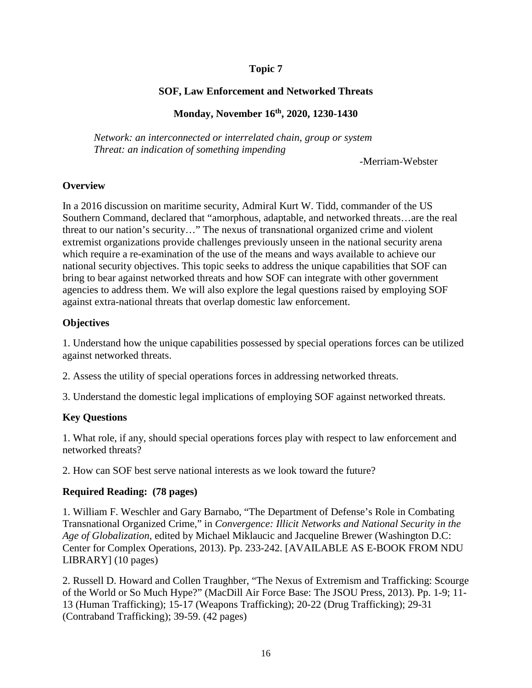### **SOF, Law Enforcement and Networked Threats**

### **Monday, November 16th, 2020, 1230-1430**

*Network: an interconnected or interrelated chain, group or system Threat: an indication of something impending*

-Merriam-Webster

#### **Overview**

In a 2016 discussion on maritime security, Admiral Kurt W. Tidd, commander of the US Southern Command, declared that "amorphous, adaptable, and networked threats…are the real threat to our nation's security…" The nexus of transnational organized crime and violent extremist organizations provide challenges previously unseen in the national security arena which require a re-examination of the use of the means and ways available to achieve our national security objectives. This topic seeks to address the unique capabilities that SOF can bring to bear against networked threats and how SOF can integrate with other government agencies to address them. We will also explore the legal questions raised by employing SOF against extra-national threats that overlap domestic law enforcement.

### **Objectives**

1. Understand how the unique capabilities possessed by special operations forces can be utilized against networked threats.

2. Assess the utility of special operations forces in addressing networked threats.

3. Understand the domestic legal implications of employing SOF against networked threats.

### **Key Questions**

1. What role, if any, should special operations forces play with respect to law enforcement and networked threats?

2. How can SOF best serve national interests as we look toward the future?

### **Required Reading: (78 pages)**

1. William F. Weschler and Gary Barnabo, "The Department of Defense's Role in Combating Transnational Organized Crime," in *Convergence: Illicit Networks and National Security in the Age of Globalization*, edited by Michael Miklaucic and Jacqueline Brewer (Washington D.C: Center for Complex Operations, 2013). Pp. 233-242. [AVAILABLE AS E-BOOK FROM NDU LIBRARY] (10 pages)

2. Russell D. Howard and Collen Traughber, "The Nexus of Extremism and Trafficking: Scourge of the World or So Much Hype?" (MacDill Air Force Base: The JSOU Press, 2013). Pp. 1-9; 11- 13 (Human Trafficking); 15-17 (Weapons Trafficking); 20-22 (Drug Trafficking); 29-31 (Contraband Trafficking); 39-59. (42 pages)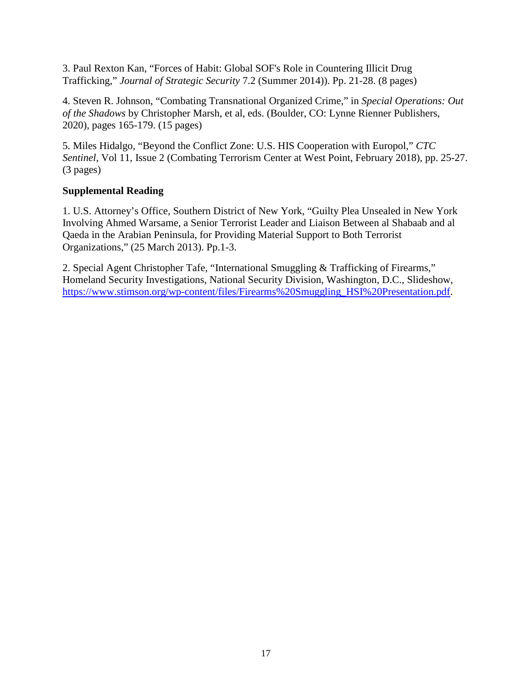3. Paul Rexton Kan, "Forces of Habit: Global SOF's Role in Countering Illicit Drug Trafficking," *Journal of Strategic Security* 7.2 (Summer 2014)). Pp. 21-28. (8 pages)

4. Steven R. Johnson, "Combating Transnational Organized Crime," in *Special Operations: Out of the Shadows* by Christopher Marsh, et al, eds. (Boulder, CO: Lynne Rienner Publishers, 2020), pages 165-179. (15 pages)

5. Miles Hidalgo, "Beyond the Conflict Zone: U.S. HIS Cooperation with Europol," *CTC Sentinel*, Vol 11, Issue 2 (Combating Terrorism Center at West Point, February 2018), pp. 25-27. (3 pages)

### **Supplemental Reading**

1. U.S. Attorney's Office, Southern District of New York, "Guilty Plea Unsealed in New York Involving Ahmed Warsame, a Senior Terrorist Leader and Liaison Between al Shabaab and al Qaeda in the Arabian Peninsula, for Providing Material Support to Both Terrorist Organizations," (25 March 2013). Pp.1-3.

2. Special Agent Christopher Tafe, "International Smuggling & Trafficking of Firearms," Homeland Security Investigations, National Security Division, Washington, D.C., Slideshow, [https://www.stimson.org/wp-content/files/Firearms%20Smuggling\\_HSI%20Presentation.pdf.](https://www.stimson.org/wp-content/files/Firearms%20Smuggling_HSI%20Presentation.pdf)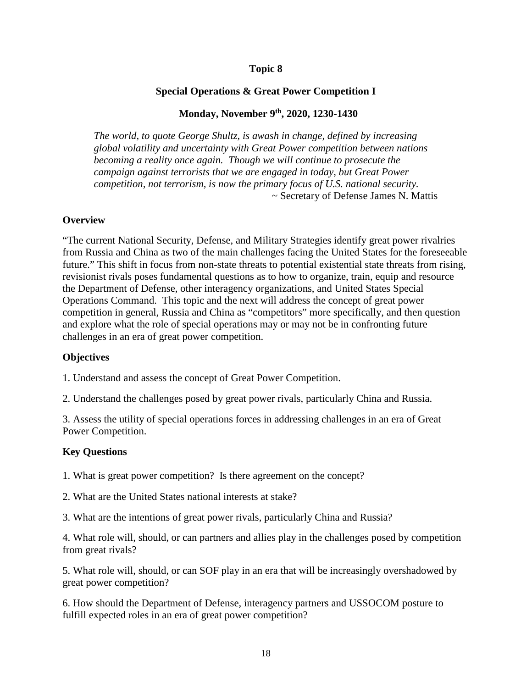#### **Special Operations & Great Power Competition I**

#### **Monday, November 9th, 2020, 1230-1430**

*The world, to quote George Shultz, is awash in change, defined by increasing global volatility and uncertainty with Great Power competition between nations becoming a reality once again. Though we will continue to prosecute the campaign against terrorists that we are engaged in today, but Great Power competition, not terrorism, is now the primary focus of U.S. national security.* ~ Secretary of Defense James N. Mattis

#### **Overview**

"The current National Security, Defense, and Military Strategies identify great power rivalries from Russia and China as two of the main challenges facing the United States for the foreseeable future." This shift in focus from non-state threats to potential existential state threats from rising, revisionist rivals poses fundamental questions as to how to organize, train, equip and resource the Department of Defense, other interagency organizations, and United States Special Operations Command. This topic and the next will address the concept of great power competition in general, Russia and China as "competitors" more specifically, and then question and explore what the role of special operations may or may not be in confronting future challenges in an era of great power competition.

#### **Objectives**

1. Understand and assess the concept of Great Power Competition.

2. Understand the challenges posed by great power rivals, particularly China and Russia.

3. Assess the utility of special operations forces in addressing challenges in an era of Great Power Competition.

#### **Key Questions**

1. What is great power competition? Is there agreement on the concept?

2. What are the United States national interests at stake?

3. What are the intentions of great power rivals, particularly China and Russia?

4. What role will, should, or can partners and allies play in the challenges posed by competition from great rivals?

5. What role will, should, or can SOF play in an era that will be increasingly overshadowed by great power competition?

6. How should the Department of Defense, interagency partners and USSOCOM posture to fulfill expected roles in an era of great power competition?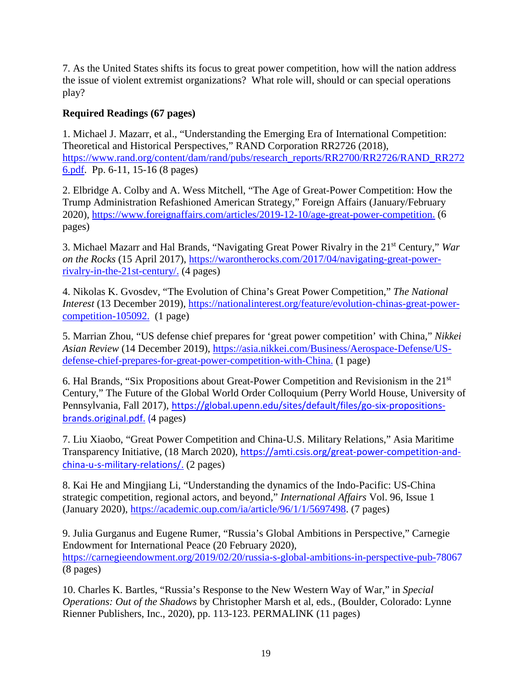7. As the United States shifts its focus to great power competition, how will the nation address the issue of violent extremist organizations? What role will, should or can special operations play?

### **Required Readings (67 pages)**

1. Michael J. Mazarr, et al., "Understanding the Emerging Era of International Competition: Theoretical and Historical Perspectives," RAND Corporation RR2726 (2018), [https://www.rand.org/content/dam/rand/pubs/research\\_reports/RR2700/RR2726/RAND\\_RR272](https://www.rand.org/content/dam/rand/pubs/research_reports/RR2700/RR2726/RAND_RR2726.pdf) [6.pdf.](https://www.rand.org/content/dam/rand/pubs/research_reports/RR2700/RR2726/RAND_RR2726.pdf) Pp. 6-11, 15-16 (8 pages)

2. Elbridge A. Colby and A. Wess Mitchell, "The Age of Great-Power Competition: How the Trump Administration Refashioned American Strategy," Foreign Affairs (January/February 2020), [https://www.foreignaffairs.com/articles/2019-12-10/age-great-power-competition.](https://www.foreignaffairs.com/articles/2019-12-10/age-great-power-competition) (6 pages)

3. Michael Mazarr and Hal Brands, "Navigating Great Power Rivalry in the 21st Century," *War on the Rocks* (15 April 2017), [https://warontherocks.com/2017/04/navigating-great-power](https://warontherocks.com/2017/04/navigating-great-power-rivalry-in-the-21st-century/)[rivalry-in-the-21st-century/.](https://warontherocks.com/2017/04/navigating-great-power-rivalry-in-the-21st-century/) (4 pages)

4. Nikolas K. Gvosdev, "The Evolution of China's Great Power Competition," *The National Interest* (13 December 2019), [https://nationalinterest.org/feature/evolution-chinas-great-power](https://nationalinterest.org/feature/evolution-chinas-great-power-competition-105092)[competition-105092.](https://nationalinterest.org/feature/evolution-chinas-great-power-competition-105092) (1 page)

5. Marrian Zhou, "US defense chief prepares for 'great power competition' with China," *Nikkei Asian Review* (14 December 2019), [https://asia.nikkei.com/Business/Aerospace-Defense/US](https://asia.nikkei.com/Business/Aerospace-Defense/US-defense-chief-prepares-for-great-power-competition-with-China)[defense-chief-prepares-for-great-power-competition-with-China.](https://asia.nikkei.com/Business/Aerospace-Defense/US-defense-chief-prepares-for-great-power-competition-with-China) (1 page)

6. Hal Brands, "Six Propositions about Great-Power Competition and Revisionism in the 21st Century," The Future of the Global World Order Colloquium (Perry World House, University of Pennsylvania, Fall 2017), [https://global.upenn.edu/sites/default/files/go-six-propositions](https://global.upenn.edu/sites/default/files/go-six-propositions-brands.original.pdf)[brands.original.pdf.](https://global.upenn.edu/sites/default/files/go-six-propositions-brands.original.pdf) (4 pages)

7. Liu Xiaobo, "Great Power Competition and China-U.S. Military Relations," Asia Maritime Transparency Initiative, (18 March 2020), [https://amti.csis.org/great-power-competition-and](https://amti.csis.org/great-power-competition-and-china-u-s-military-relations/)[china-u-s-military-relations/.](https://amti.csis.org/great-power-competition-and-china-u-s-military-relations/) (2 pages)

8. Kai He and Mingjiang Li, "Understanding the dynamics of the Indo-Pacific: US-China strategic competition, regional actors, and beyond," *International Affairs* Vol. 96, Issue 1 (January 2020), [https://academic.oup.com/ia/article/96/1/1/5697498.](https://academic.oup.com/ia/article/96/1/1/5697498) (7 pages)

9. Julia Gurganus and Eugene Rumer, "Russia's Global Ambitions in Perspective," Carnegie Endowment for International Peace (20 February 2020), <https://carnegieendowment.org/2019/02/20/russia-s-global-ambitions-in-perspective-pub-78067> (8 pages)

10. Charles K. Bartles, "Russia's Response to the New Western Way of War," in *Special Operations: Out of the Shadows* by Christopher Marsh et al, eds., (Boulder, Colorado: Lynne Rienner Publishers, Inc., 2020), pp. 113-123. PERMALINK (11 pages)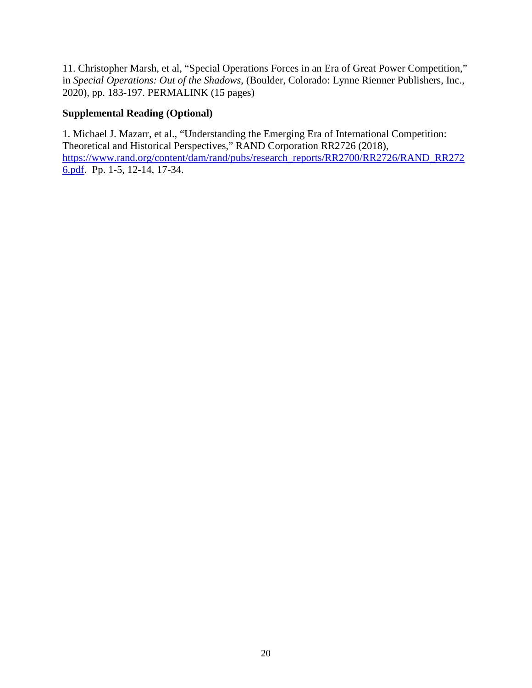11. Christopher Marsh, et al, "Special Operations Forces in an Era of Great Power Competition," in *Special Operations: Out of the Shadows*, (Boulder, Colorado: Lynne Rienner Publishers, Inc., 2020), pp. 183-197. PERMALINK (15 pages)

### **Supplemental Reading (Optional)**

1. Michael J. Mazarr, et al., "Understanding the Emerging Era of International Competition: Theoretical and Historical Perspectives," RAND Corporation RR2726 (2018), [https://www.rand.org/content/dam/rand/pubs/research\\_reports/RR2700/RR2726/RAND\\_RR272](https://www.rand.org/content/dam/rand/pubs/research_reports/RR2700/RR2726/RAND_RR2726.pdf) [6.pdf.](https://www.rand.org/content/dam/rand/pubs/research_reports/RR2700/RR2726/RAND_RR2726.pdf) Pp. 1-5, 12-14, 17-34.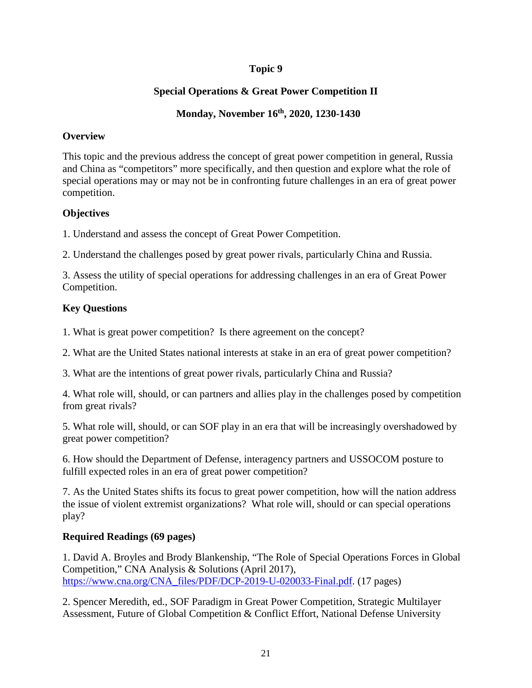### **Special Operations & Great Power Competition II**

### **Monday, November 16th, 2020, 1230-1430**

### **Overview**

This topic and the previous address the concept of great power competition in general, Russia and China as "competitors" more specifically, and then question and explore what the role of special operations may or may not be in confronting future challenges in an era of great power competition.

### **Objectives**

1. Understand and assess the concept of Great Power Competition.

2. Understand the challenges posed by great power rivals, particularly China and Russia.

3. Assess the utility of special operations for addressing challenges in an era of Great Power Competition.

### **Key Questions**

1. What is great power competition? Is there agreement on the concept?

2. What are the United States national interests at stake in an era of great power competition?

3. What are the intentions of great power rivals, particularly China and Russia?

4. What role will, should, or can partners and allies play in the challenges posed by competition from great rivals?

5. What role will, should, or can SOF play in an era that will be increasingly overshadowed by great power competition?

6. How should the Department of Defense, interagency partners and USSOCOM posture to fulfill expected roles in an era of great power competition?

7. As the United States shifts its focus to great power competition, how will the nation address the issue of violent extremist organizations? What role will, should or can special operations play?

### **Required Readings (69 pages)**

1. David A. Broyles and Brody Blankenship, "The Role of Special Operations Forces in Global Competition," CNA Analysis & Solutions (April 2017), [https://www.cna.org/CNA\\_files/PDF/DCP-2019-U-020033-Final.pdf.](https://www.cna.org/CNA_files/PDF/DCP-2019-U-020033-Final.pdf) (17 pages)

2. Spencer Meredith, ed., SOF Paradigm in Great Power Competition, Strategic Multilayer Assessment, Future of Global Competition & Conflict Effort, National Defense University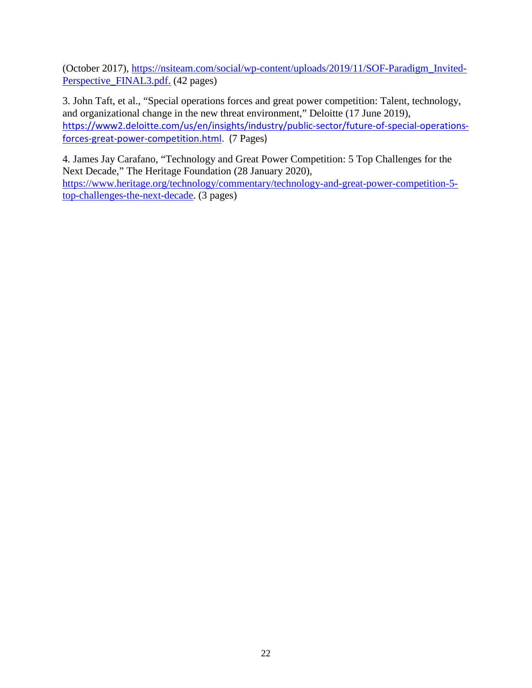(October 2017), [https://nsiteam.com/social/wp-content/uploads/2019/11/SOF-Paradigm\\_Invited-](https://nsiteam.com/social/wp-content/uploads/2019/11/SOF-Paradigm_Invited-Perspective_FINAL3.pdf)[Perspective\\_FINAL3.pdf.](https://nsiteam.com/social/wp-content/uploads/2019/11/SOF-Paradigm_Invited-Perspective_FINAL3.pdf) (42 pages)

3. John Taft, et al., "Special operations forces and great power competition: Talent, technology, and organizational change in the new threat environment," Deloitte (17 June 2019), [https://www2.deloitte.com/us/en/insights/industry/public-sector/future-of-special-operations](https://www2.deloitte.com/us/en/insights/industry/public-sector/future-of-special-operations-forces-great-power-competition.html)[forces-great-power-competition.html.](https://www2.deloitte.com/us/en/insights/industry/public-sector/future-of-special-operations-forces-great-power-competition.html) (7 Pages)

4. James Jay Carafano, "Technology and Great Power Competition: 5 Top Challenges for the Next Decade," The Heritage Foundation (28 January 2020), [https://www.heritage.org/technology/commentary/technology-and-great-power-competition-5](https://www.heritage.org/technology/commentary/technology-and-great-power-competition-5-top-challenges-the-next-decade) [top-challenges-the-next-decade.](https://www.heritage.org/technology/commentary/technology-and-great-power-competition-5-top-challenges-the-next-decade) (3 pages)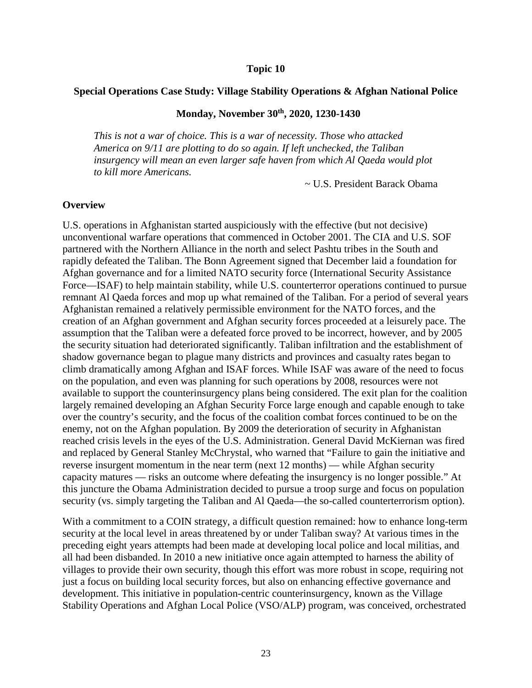#### **Special Operations Case Study: Village Stability Operations & Afghan National Police**

#### **Monday, November 30th, 2020, 1230-1430**

*This is not a war of choice. This is a war of necessity. Those who attacked America on 9/11 are plotting to do so again. If left unchecked, the Taliban insurgency will mean an even larger safe haven from which Al Qaeda would plot to kill more Americans.*

~ U.S. President Barack Obama

#### **Overview**

U.S. operations in Afghanistan started auspiciously with the effective (but not decisive) unconventional warfare operations that commenced in October 2001. The CIA and U.S. SOF partnered with the Northern Alliance in the north and select Pashtu tribes in the South and rapidly defeated the Taliban. The Bonn Agreement signed that December laid a foundation for Afghan governance and for a limited NATO security force (International Security Assistance Force—ISAF) to help maintain stability, while U.S. counterterror operations continued to pursue remnant Al Qaeda forces and mop up what remained of the Taliban. For a period of several years Afghanistan remained a relatively permissible environment for the NATO forces, and the creation of an Afghan government and Afghan security forces proceeded at a leisurely pace. The assumption that the Taliban were a defeated force proved to be incorrect, however, and by 2005 the security situation had deteriorated significantly. Taliban infiltration and the establishment of shadow governance began to plague many districts and provinces and casualty rates began to climb dramatically among Afghan and ISAF forces. While ISAF was aware of the need to focus on the population, and even was planning for such operations by 2008, resources were not available to support the counterinsurgency plans being considered. The exit plan for the coalition largely remained developing an Afghan Security Force large enough and capable enough to take over the country's security, and the focus of the coalition combat forces continued to be on the enemy, not on the Afghan population. By 2009 the deterioration of security in Afghanistan reached crisis levels in the eyes of the U.S. Administration. General David McKiernan was fired and replaced by General Stanley McChrystal, who warned that "Failure to gain the initiative and reverse insurgent momentum in the near term (next 12 months) — while Afghan security capacity matures — risks an outcome where defeating the insurgency is no longer possible." At this juncture the Obama Administration decided to pursue a troop surge and focus on population security (vs. simply targeting the Taliban and Al Qaeda—the so-called counterterrorism option).

With a commitment to a COIN strategy, a difficult question remained: how to enhance long-term security at the local level in areas threatened by or under Taliban sway? At various times in the preceding eight years attempts had been made at developing local police and local militias, and all had been disbanded. In 2010 a new initiative once again attempted to harness the ability of villages to provide their own security, though this effort was more robust in scope, requiring not just a focus on building local security forces, but also on enhancing effective governance and development. This initiative in population-centric counterinsurgency, known as the Village Stability Operations and Afghan Local Police (VSO/ALP) program, was conceived, orchestrated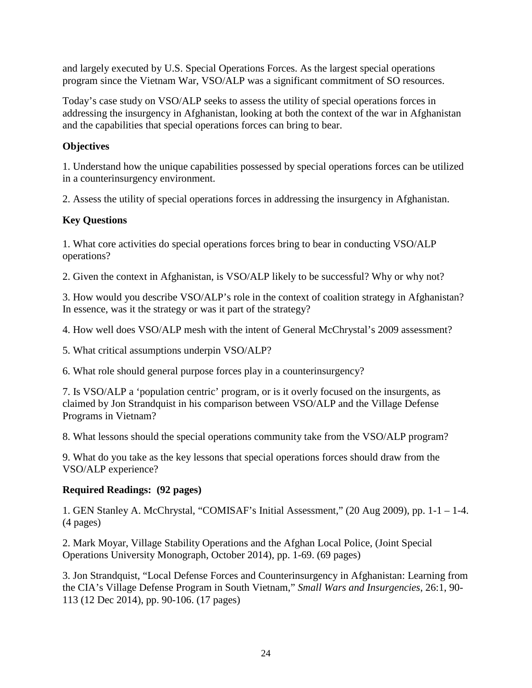and largely executed by U.S. Special Operations Forces. As the largest special operations program since the Vietnam War, VSO/ALP was a significant commitment of SO resources.

Today's case study on VSO/ALP seeks to assess the utility of special operations forces in addressing the insurgency in Afghanistan, looking at both the context of the war in Afghanistan and the capabilities that special operations forces can bring to bear.

### **Objectives**

1. Understand how the unique capabilities possessed by special operations forces can be utilized in a counterinsurgency environment.

2. Assess the utility of special operations forces in addressing the insurgency in Afghanistan.

### **Key Questions**

1. What core activities do special operations forces bring to bear in conducting VSO/ALP operations?

2. Given the context in Afghanistan, is VSO/ALP likely to be successful? Why or why not?

3. How would you describe VSO/ALP's role in the context of coalition strategy in Afghanistan? In essence, was it the strategy or was it part of the strategy?

4. How well does VSO/ALP mesh with the intent of General McChrystal's 2009 assessment?

5. What critical assumptions underpin VSO/ALP?

6. What role should general purpose forces play in a counterinsurgency?

7. Is VSO/ALP a 'population centric' program, or is it overly focused on the insurgents, as claimed by Jon Strandquist in his comparison between VSO/ALP and the Village Defense Programs in Vietnam?

8. What lessons should the special operations community take from the VSO/ALP program?

9. What do you take as the key lessons that special operations forces should draw from the VSO/ALP experience?

### **Required Readings: (92 pages)**

1. GEN Stanley A. McChrystal, "COMISAF's Initial Assessment," (20 Aug 2009), pp. 1-1 – 1-4. (4 pages)

2. Mark Moyar, Village Stability Operations and the Afghan Local Police, (Joint Special Operations University Monograph, October 2014), pp. 1-69. (69 pages)

3. Jon Strandquist, "Local Defense Forces and Counterinsurgency in Afghanistan: Learning from the CIA's Village Defense Program in South Vietnam," *Small Wars and Insurgencies*, 26:1, 90- 113 (12 Dec 2014), pp. 90-106. (17 pages)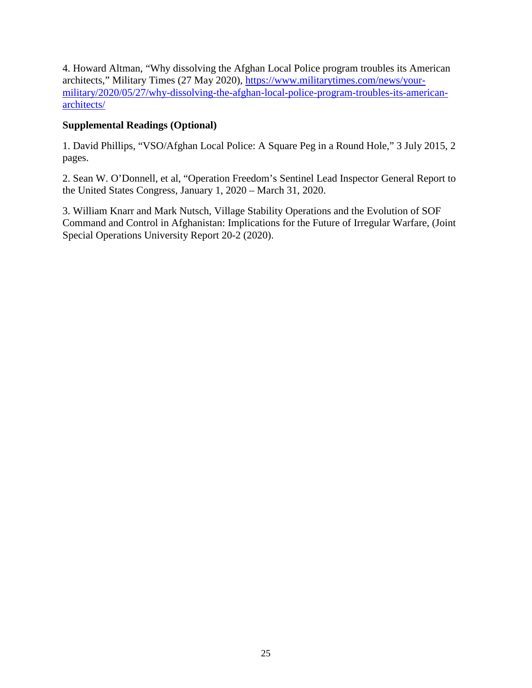4. Howard Altman, "Why dissolving the Afghan Local Police program troubles its American architects," Military Times (27 May 2020), [https://www.militarytimes.com/news/your](https://www.militarytimes.com/news/your-military/2020/05/27/why-dissolving-the-afghan-local-police-program-troubles-its-american-architects/)[military/2020/05/27/why-dissolving-the-afghan-local-police-program-troubles-its-american](https://www.militarytimes.com/news/your-military/2020/05/27/why-dissolving-the-afghan-local-police-program-troubles-its-american-architects/)[architects/](https://www.militarytimes.com/news/your-military/2020/05/27/why-dissolving-the-afghan-local-police-program-troubles-its-american-architects/)

### **Supplemental Readings (Optional)**

1. David Phillips, "VSO/Afghan Local Police: A Square Peg in a Round Hole," 3 July 2015, 2 pages.

2. Sean W. O'Donnell, et al, "Operation Freedom's Sentinel Lead Inspector General Report to the United States Congress, January 1, 2020 – March 31, 2020.

3. William Knarr and Mark Nutsch, Village Stability Operations and the Evolution of SOF Command and Control in Afghanistan: Implications for the Future of Irregular Warfare, (Joint Special Operations University Report 20-2 (2020).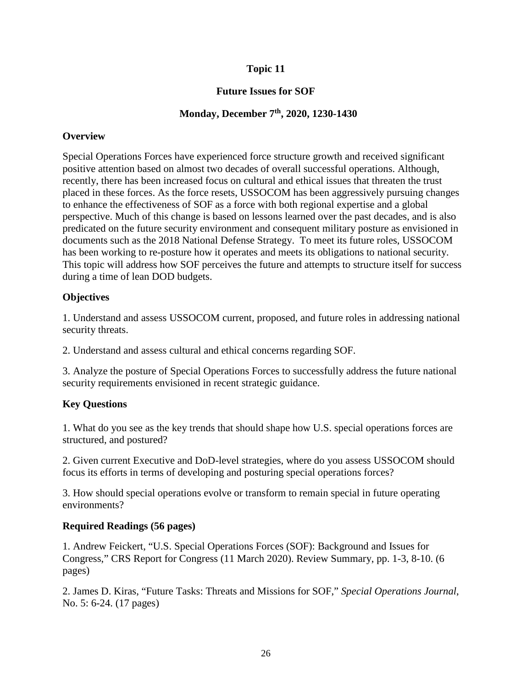### **Future Issues for SOF**

### **Monday, December 7th, 2020, 1230-1430**

### **Overview**

Special Operations Forces have experienced force structure growth and received significant positive attention based on almost two decades of overall successful operations. Although, recently, there has been increased focus on cultural and ethical issues that threaten the trust placed in these forces. As the force resets, USSOCOM has been aggressively pursuing changes to enhance the effectiveness of SOF as a force with both regional expertise and a global perspective. Much of this change is based on lessons learned over the past decades, and is also predicated on the future security environment and consequent military posture as envisioned in documents such as the 2018 National Defense Strategy. To meet its future roles, USSOCOM has been working to re-posture how it operates and meets its obligations to national security. This topic will address how SOF perceives the future and attempts to structure itself for success during a time of lean DOD budgets.

### **Objectives**

1. Understand and assess USSOCOM current, proposed, and future roles in addressing national security threats.

2. Understand and assess cultural and ethical concerns regarding SOF.

3. Analyze the posture of Special Operations Forces to successfully address the future national security requirements envisioned in recent strategic guidance.

### **Key Questions**

1. What do you see as the key trends that should shape how U.S. special operations forces are structured, and postured?

2. Given current Executive and DoD-level strategies, where do you assess USSOCOM should focus its efforts in terms of developing and posturing special operations forces?

3. How should special operations evolve or transform to remain special in future operating environments?

### **Required Readings (56 pages)**

1. Andrew Feickert, "U.S. Special Operations Forces (SOF): Background and Issues for Congress," CRS Report for Congress (11 March 2020). Review Summary, pp. 1-3, 8-10. (6 pages)

2. James D. Kiras, "Future Tasks: Threats and Missions for SOF," *Special Operations Journal*, No. 5: 6-24. (17 pages)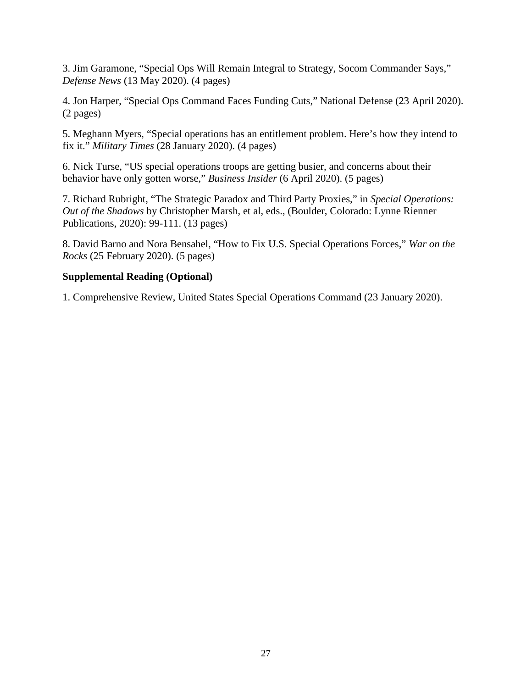3. Jim Garamone, "Special Ops Will Remain Integral to Strategy, Socom Commander Says," *Defense News* (13 May 2020). (4 pages)

4. Jon Harper, "Special Ops Command Faces Funding Cuts," National Defense (23 April 2020). (2 pages)

5. Meghann Myers, "Special operations has an entitlement problem. Here's how they intend to fix it." *Military Times* (28 January 2020). (4 pages)

6. Nick Turse, "US special operations troops are getting busier, and concerns about their behavior have only gotten worse," *Business Insider* (6 April 2020). (5 pages)

7. Richard Rubright, "The Strategic Paradox and Third Party Proxies," in *Special Operations: Out of the Shadows* by Christopher Marsh, et al, eds., (Boulder, Colorado: Lynne Rienner Publications, 2020): 99-111. (13 pages)

8. David Barno and Nora Bensahel, "How to Fix U.S. Special Operations Forces," *War on the Rocks* (25 February 2020). (5 pages)

#### **Supplemental Reading (Optional)**

1. Comprehensive Review, United States Special Operations Command (23 January 2020).